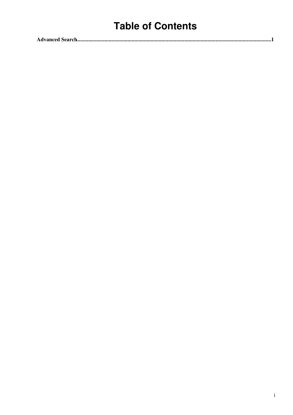## **Table of Contents**

|--|